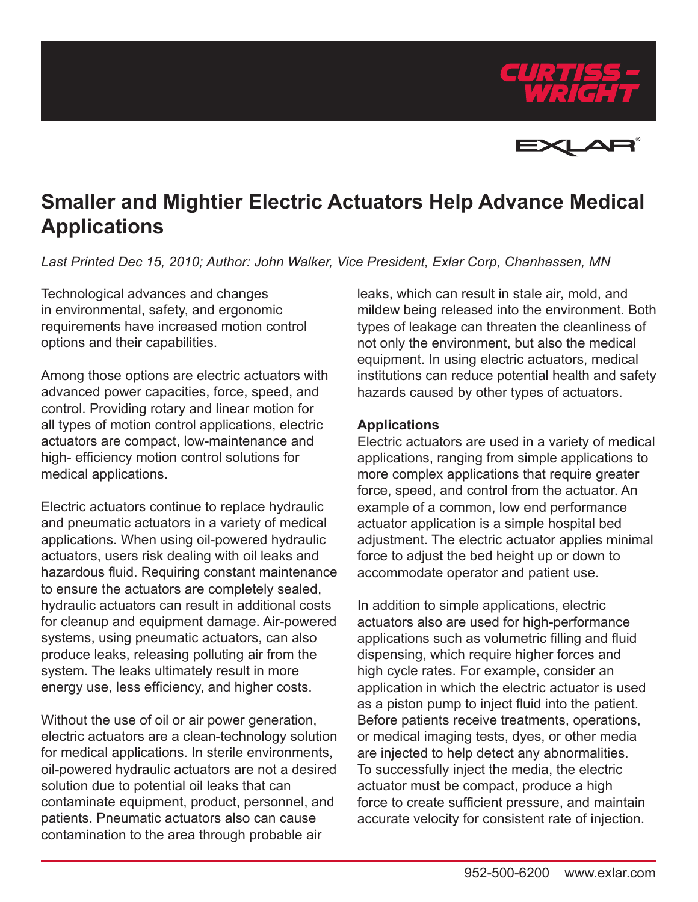



## **Smaller and Mightier Electric Actuators Help Advance Medical Applications**

*Last Printed Dec 15, 2010; Author: John Walker, Vice President, Exlar Corp, Chanhassen, MN*

Technological advances and changes in environmental, safety, and ergonomic requirements have increased motion control options and their capabilities.

Among those options are electric actuators with advanced power capacities, force, speed, and control. Providing rotary and linear motion for all types of motion control applications, electric actuators are compact, low-maintenance and high- efficiency motion control solutions for medical applications.

Electric actuators continue to replace hydraulic and pneumatic actuators in a variety of medical applications. When using oil-powered hydraulic actuators, users risk dealing with oil leaks and hazardous fluid. Requiring constant maintenance to ensure the actuators are completely sealed, hydraulic actuators can result in additional costs for cleanup and equipment damage. Air-powered systems, using pneumatic actuators, can also produce leaks, releasing polluting air from the system. The leaks ultimately result in more energy use, less efficiency, and higher costs.

Without the use of oil or air power generation, electric actuators are a clean-technology solution for medical applications. In sterile environments, oil-powered hydraulic actuators are not a desired solution due to potential oil leaks that can contaminate equipment, product, personnel, and patients. Pneumatic actuators also can cause contamination to the area through probable air

leaks, which can result in stale air, mold, and mildew being released into the environment. Both types of leakage can threaten the cleanliness of not only the environment, but also the medical equipment. In using electric actuators, medical institutions can reduce potential health and safety hazards caused by other types of actuators.

## **Applications**

Electric actuators are used in a variety of medical applications, ranging from simple applications to more complex applications that require greater force, speed, and control from the actuator. An example of a common, low end performance actuator application is a simple hospital bed adjustment. The electric actuator applies minimal force to adjust the bed height up or down to accommodate operator and patient use.

In addition to simple applications, electric actuators also are used for high-performance applications such as volumetric filling and fluid dispensing, which require higher forces and high cycle rates. For example, consider an application in which the electric actuator is used as a piston pump to inject fluid into the patient. Before patients receive treatments, operations, or medical imaging tests, dyes, or other media are injected to help detect any abnormalities. To successfully inject the media, the electric actuator must be compact, produce a high force to create sufficient pressure, and maintain accurate velocity for consistent rate of injection.